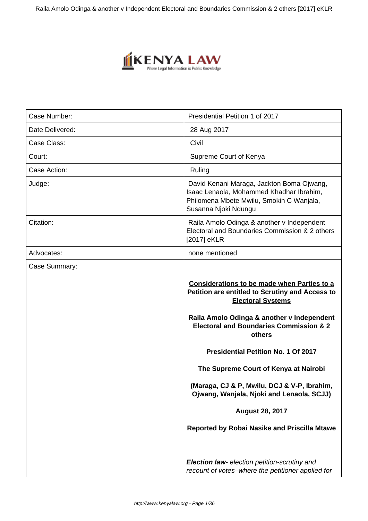

| Case Number:    | Presidential Petition 1 of 2017                                                                                                                                                                                                                                                                                                                                                                                                                                                                                                                       |
|-----------------|-------------------------------------------------------------------------------------------------------------------------------------------------------------------------------------------------------------------------------------------------------------------------------------------------------------------------------------------------------------------------------------------------------------------------------------------------------------------------------------------------------------------------------------------------------|
| Date Delivered: | 28 Aug 2017                                                                                                                                                                                                                                                                                                                                                                                                                                                                                                                                           |
| Case Class:     | Civil                                                                                                                                                                                                                                                                                                                                                                                                                                                                                                                                                 |
| Court:          | Supreme Court of Kenya                                                                                                                                                                                                                                                                                                                                                                                                                                                                                                                                |
| Case Action:    | Ruling                                                                                                                                                                                                                                                                                                                                                                                                                                                                                                                                                |
| Judge:          | David Kenani Maraga, Jackton Boma Ojwang,<br>Isaac Lenaola, Mohammed Khadhar Ibrahim,<br>Philomena Mbete Mwilu, Smokin C Wanjala,<br>Susanna Njoki Ndungu                                                                                                                                                                                                                                                                                                                                                                                             |
| Citation:       | Raila Amolo Odinga & another v Independent<br>Electoral and Boundaries Commission & 2 others<br>[2017] eKLR                                                                                                                                                                                                                                                                                                                                                                                                                                           |
| Advocates:      | none mentioned                                                                                                                                                                                                                                                                                                                                                                                                                                                                                                                                        |
| Case Summary:   | Considerations to be made when Parties to a<br>Petition are entitled to Scrutiny and Access to<br><b>Electoral Systems</b><br>Raila Amolo Odinga & another v Independent<br><b>Electoral and Boundaries Commission &amp; 2</b><br>others<br><b>Presidential Petition No. 1 Of 2017</b><br>The Supreme Court of Kenya at Nairobi<br>(Maraga, CJ & P, Mwilu, DCJ & V-P, Ibrahim,<br>Ojwang, Wanjala, Njoki and Lenaola, SCJJ)<br><b>August 28, 2017</b><br>Reported by Robai Nasike and Priscilla Mtawe<br>Election law- election petition-scrutiny and |
|                 | recount of votes-where the petitioner applied for                                                                                                                                                                                                                                                                                                                                                                                                                                                                                                     |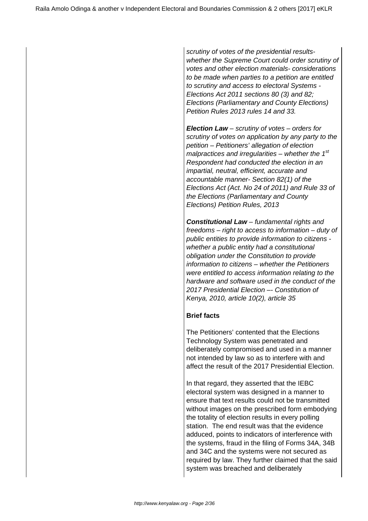scrutiny of votes of the presidential resultswhether the Supreme Court could order scrutiny of votes and other election materials- considerations to be made when parties to a petition are entitled to scrutiny and access to electoral Systems - Elections Act 2011 sections 80 (3) and 82; Elections (Parliamentary and County Elections) Petition Rules 2013 rules 14 and 33.

**Election Law** – scrutiny of votes – orders for scrutiny of votes on application by any party to the petition – Petitioners' allegation of election malpractices and irregularities – whether the  $1<sup>st</sup>$ Respondent had conducted the election in an impartial, neutral, efficient, accurate and accountable manner- Section 82(1) of the Elections Act (Act. No 24 of 2011) and Rule 33 of the Elections (Parliamentary and County Elections) Petition Rules, 2013

**Constitutional Law** – fundamental rights and freedoms – right to access to information – duty of public entities to provide information to citizens whether a public entity had a constitutional obligation under the Constitution to provide information to citizens – whether the Petitioners were entitled to access information relating to the hardware and software used in the conduct of the 2017 Presidential Election –- Constitution of Kenya, 2010, article 10(2), article 35

# **Brief facts**

The Petitioners' contented that the Elections Technology System was penetrated and deliberately compromised and used in a manner not intended by law so as to interfere with and affect the result of the 2017 Presidential Election.

In that regard, they asserted that the IEBC electoral system was designed in a manner to ensure that text results could not be transmitted without images on the prescribed form embodying the totality of election results in every polling station. The end result was that the evidence adduced, points to indicators of interference with the systems, fraud in the filing of Forms 34A, 34B and 34C and the systems were not secured as required by law. They further claimed that the said system was breached and deliberately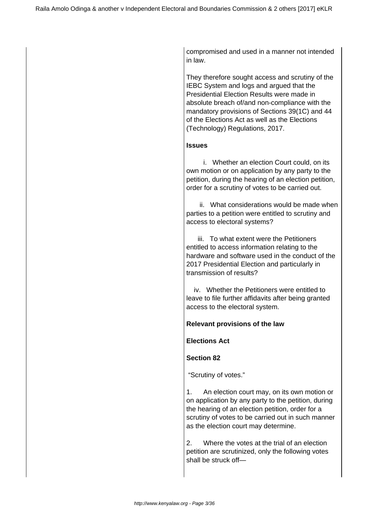compromised and used in a manner not intended in law.

They therefore sought access and scrutiny of the IEBC System and logs and argued that the Presidential Election Results were made in absolute breach of/and non-compliance with the mandatory provisions of Sections 39(1C) and 44 of the Elections Act as well as the Elections (Technology) Regulations, 2017.

## **Issues**

 i. Whether an election Court could, on its own motion or on application by any party to the petition, during the hearing of an election petition, order for a scrutiny of votes to be carried out.

 ii. What considerations would be made when parties to a petition were entitled to scrutiny and access to electoral systems?

 iii. To what extent were the Petitioners entitled to access information relating to the hardware and software used in the conduct of the 2017 Presidential Election and particularly in transmission of results?

 iv. Whether the Petitioners were entitled to leave to file further affidavits after being granted access to the electoral system.

## **Relevant provisions of the law**

**Elections Act** 

## **Section 82**

"Scrutiny of votes."

1. An election court may, on its own motion or on application by any party to the petition, during the hearing of an election petition, order for a scrutiny of votes to be carried out in such manner as the election court may determine.

2. Where the votes at the trial of an election petition are scrutinized, only the following votes shall be struck off—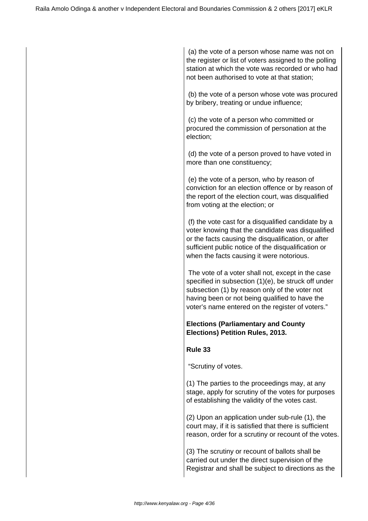(a) the vote of a person whose name was not on the register or list of voters assigned to the polling station at which the vote was recorded or who had not been authorised to vote at that station;

 (b) the vote of a person whose vote was procured by bribery, treating or undue influence;

 (c) the vote of a person who committed or procured the commission of personation at the election;

 (d) the vote of a person proved to have voted in more than one constituency;

 (e) the vote of a person, who by reason of conviction for an election offence or by reason of the report of the election court, was disqualified from voting at the election; or

 (f) the vote cast for a disqualified candidate by a voter knowing that the candidate was disqualified or the facts causing the disqualification, or after sufficient public notice of the disqualification or when the facts causing it were notorious.

 The vote of a voter shall not, except in the case specified in subsection (1)(e), be struck off under subsection (1) by reason only of the voter not having been or not being qualified to have the voter's name entered on the register of voters."

# **Elections (Parliamentary and County Elections) Petition Rules, 2013.**

# **Rule 33**

"Scrutiny of votes.

(1) The parties to the proceedings may, at any stage, apply for scrutiny of the votes for purposes of establishing the validity of the votes cast.

(2) Upon an application under sub-rule (1), the court may, if it is satisfied that there is sufficient reason, order for a scrutiny or recount of the votes.

(3) The scrutiny or recount of ballots shall be carried out under the direct supervision of the Registrar and shall be subject to directions as the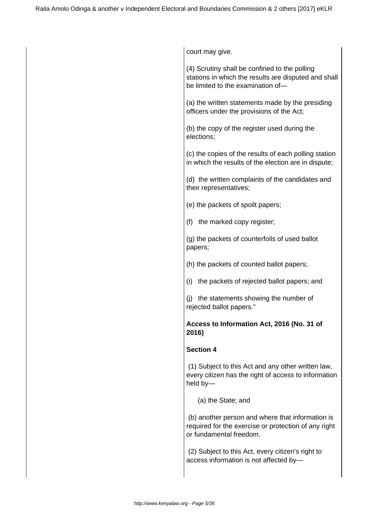court may give.

(4) Scrutiny shall be confined to the polling stations in which the results are disputed and shall be limited to the examination of—

(a) the written statements made by the presiding officers under the provisions of the Act;

(b) the copy of the register used during the elections;

(c) the copies of the results of each polling station in which the results of the election are in dispute;

(d) the written complaints of the candidates and their representatives;

(e) the packets of spoilt papers;

(f) the marked copy register;

(g) the packets of counterfoils of used ballot papers;

- (h) the packets of counted ballot papers;
- (i) the packets of rejected ballot papers; and

(j) the statements showing the number of rejected ballot papers."

## **Access to Information Act, 2016 (No. 31 of 2016)**

#### **Section 4**

 (1) Subject to this Act and any other written law, every citizen has the right of access to information held by—

(a) the State; and

 (b) another person and where that information is required for the exercise or protection of any right or fundamental freedom.

 (2) Subject to this Act, every citizen's right to access information is not affected by—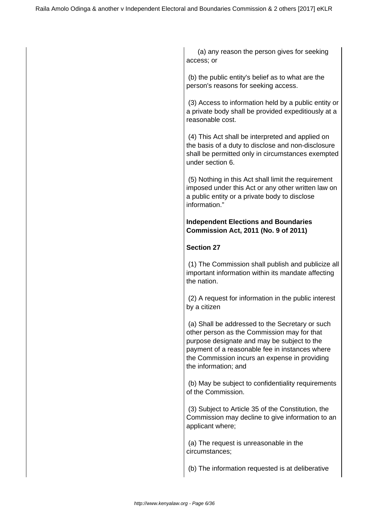(a) any reason the person gives for seeking access; or

 (b) the public entity's belief as to what are the person's reasons for seeking access.

 (3) Access to information held by a public entity or a private body shall be provided expeditiously at a reasonable cost.

 (4) This Act shall be interpreted and applied on the basis of a duty to disclose and non-disclosure shall be permitted only in circumstances exempted under section 6.

 (5) Nothing in this Act shall limit the requirement imposed under this Act or any other written law on a public entity or a private body to disclose information."

# **Independent Elections and Boundaries Commission Act, 2011 (No. 9 of 2011)**

# **Section 27**

 (1) The Commission shall publish and publicize all important information within its mandate affecting the nation.

 (2) A request for information in the public interest by a citizen

 (a) Shall be addressed to the Secretary or such other person as the Commission may for that purpose designate and may be subject to the payment of a reasonable fee in instances where the Commission incurs an expense in providing the information; and

 (b) May be subject to confidentiality requirements of the Commission.

 (3) Subject to Article 35 of the Constitution, the Commission may decline to give information to an applicant where;

 (a) The request is unreasonable in the circumstances;

(b) The information requested is at deliberative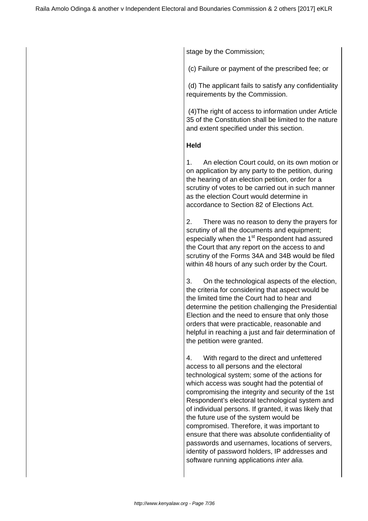stage by the Commission;

(c) Failure or payment of the prescribed fee; or

 (d) The applicant fails to satisfy any confidentiality requirements by the Commission.

 (4)The right of access to information under Article 35 of the Constitution shall be limited to the nature and extent specified under this section.

## **Held**

1. An election Court could, on its own motion or on application by any party to the petition, during the hearing of an election petition, order for a scrutiny of votes to be carried out in such manner as the election Court would determine in accordance to Section 82 of Elections Act.

2. There was no reason to deny the prayers for scrutiny of all the documents and equipment; especially when the 1<sup>st</sup> Respondent had assured the Court that any report on the access to and scrutiny of the Forms 34A and 34B would be filed within 48 hours of any such order by the Court.

3. On the technological aspects of the election, the criteria for considering that aspect would be the limited time the Court had to hear and determine the petition challenging the Presidential Election and the need to ensure that only those orders that were practicable, reasonable and helpful in reaching a just and fair determination of the petition were granted.

4. With regard to the direct and unfettered access to all persons and the electoral technological system; some of the actions for which access was sought had the potential of compromising the integrity and security of the 1st Respondent's electoral technological system and of individual persons. If granted, it was likely that the future use of the system would be compromised. Therefore, it was important to ensure that there was absolute confidentiality of passwords and usernames, locations of servers, identity of password holders, IP addresses and software running applications *inter alia.*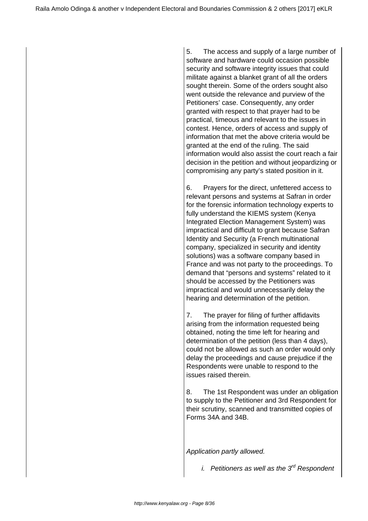5. The access and supply of a large number of software and hardware could occasion possible security and software integrity issues that could militate against a blanket grant of all the orders sought therein. Some of the orders sought also went outside the relevance and purview of the Petitioners' case. Consequently, any order granted with respect to that prayer had to be practical, timeous and relevant to the issues in contest. Hence, orders of access and supply of information that met the above criteria would be granted at the end of the ruling. The said information would also assist the court reach a fair decision in the petition and without jeopardizing or compromising any party's stated position in it.

6. Prayers for the direct, unfettered access to relevant persons and systems at Safran in order for the forensic information technology experts to fully understand the KIEMS system (Kenya Integrated Election Management System) was impractical and difficult to grant because Safran Identity and Security (a French multinational company, specialized in security and identity solutions) was a software company based in France and was not party to the proceedings. To demand that "persons and systems" related to it should be accessed by the Petitioners was impractical and would unnecessarily delay the hearing and determination of the petition.

7. The prayer for filing of further affidavits arising from the information requested being obtained, noting the time left for hearing and determination of the petition (less than 4 days), could not be allowed as such an order would only delay the proceedings and cause prejudice if the Respondents were unable to respond to the issues raised therein.

8. The 1st Respondent was under an obligation to supply to the Petitioner and 3rd Respondent for their scrutiny, scanned and transmitted copies of Forms 34A and 34B.

Application partly allowed.

i. Petitioners as well as the  $3<sup>rd</sup>$  Respondent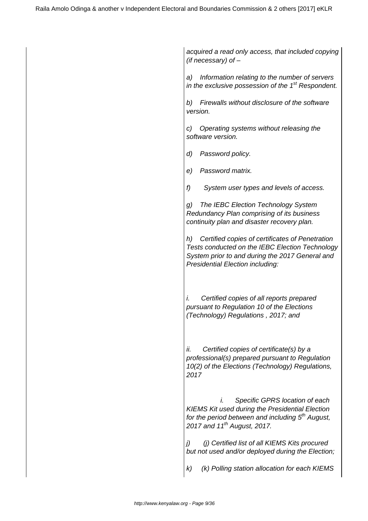acquired a read only access, that included copying (if necessary) of –

a) Information relating to the number of servers in the exclusive possession of the  $1<sup>st</sup>$  Respondent.

b) Firewalls without disclosure of the software version.

c) Operating systems without releasing the software version.

d) Password policy.

e) Password matrix.

f) System user types and levels of access.

g) The IEBC Election Technology System Redundancy Plan comprising of its business continuity plan and disaster recovery plan.

h) Certified copies of certificates of Penetration Tests conducted on the IEBC Election Technology System prior to and during the 2017 General and Presidential Election including:

i. Certified copies of all reports prepared pursuant to Regulation 10 of the Elections (Technology) Regulations , 2017; and

ii. Certified copies of certificate(s) by a professional(s) prepared pursuant to Regulation 10(2) of the Elections (Technology) Regulations, 2017

 i. Specific GPRS location of each KIEMS Kit used during the Presidential Election for the period between and including  $5<sup>th</sup>$  August, 2017 and  $11^{th}$  August, 2017.

j) (j) Certified list of all KIEMS Kits procured but not used and/or deployed during the Election;

k) (k) Polling station allocation for each KIEMS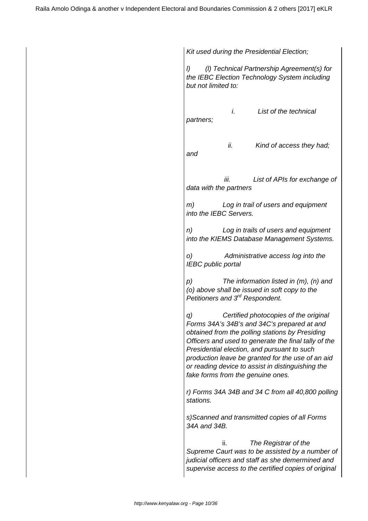Kit used during the Presidential Election; l) (l) Technical Partnership Agreement(s) for the IEBC Election Technology System including but not limited to: i. List of the technical partners; ii. Kind of access they had; and iii. List of APIs for exchange of data with the partners m) Log in trail of users and equipment into the IEBC Servers. n) Log in trails of users and equipment into the KIEMS Database Management Systems. o) Administrative access log into the IEBC public portal p) The information listed in (m), (n) and (o) above shall be issued in soft copy to the Petitioners and 3<sup>rd</sup> Respondent. q) Certified photocopies of the original Forms 34A's 34B's and 34C's prepared at and obtained from the polling stations by Presiding Officers and used to generate the final tally of the Presidential election, and pursuant to such production leave be granted for the use of an aid or reading device to assist in distinguishing the fake forms from the genuine ones. r) Forms 34A 34B and 34 C from all 40,800 polling stations. s)Scanned and transmitted copies of all Forms 34A and 34B. ii. The Registrar of the Supreme Caurt was to be assisted by a number of judicial officers and staff as she demermined and supervise access to the certified copies of original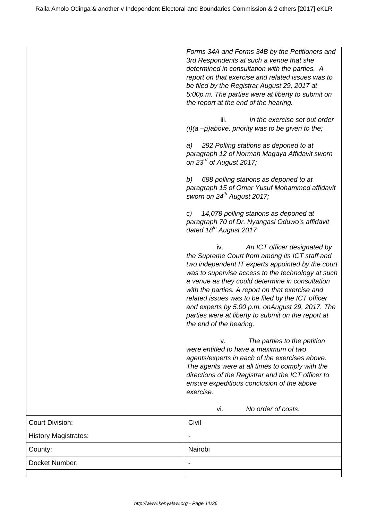|                             | Forms 34A and Forms 34B by the Petitioners and<br>3rd Respondents at such a venue that she<br>determined in consultation with the parties. A<br>report on that exercise and related issues was to<br>be filed by the Registrar August 29, 2017 at<br>5:00p.m. The parties were at liberty to submit on<br>the report at the end of the hearing.<br>In the exercise set out order<br>iii.<br>$(i)(a - p)$ above, priority was to be given to the;<br>292 Polling stations as deponed to at<br>a)<br>paragraph 12 of Norman Magaya Affidavit sworn<br>on $23rd$ of August 2017;<br>688 polling stations as deponed to at<br>b)<br>paragraph 15 of Omar Yusuf Mohammed affidavit<br>sworn on $24^{th}$ August 2017;<br>14,078 polling stations as deponed at<br>C)<br>paragraph 70 of Dr. Nyangasi Oduwo's affidavit<br>dated 18 <sup>th</sup> August 2017<br>An ICT officer designated by<br>iv.<br>the Supreme Court from among its ICT staff and<br>two independent IT experts appointed by the court<br>was to supervise access to the technology at such<br>a venue as they could determine in consultation<br>with the parties. A report on that exercise and<br>related issues was to be filed by the ICT officer<br>and experts by 5:00 p.m. onAugust 29, 2017. The<br>parties were at liberty to submit on the report at<br>the end of the hearing.<br>The parties to the petition<br>v.<br>were entitled to have a maximum of two<br>agents/experts in each of the exercises above.<br>The agents were at all times to comply with the<br>directions of the Registrar and the ICT officer to<br>ensure expeditious conclusion of the above<br>exercise. |
|-----------------------------|----------------------------------------------------------------------------------------------------------------------------------------------------------------------------------------------------------------------------------------------------------------------------------------------------------------------------------------------------------------------------------------------------------------------------------------------------------------------------------------------------------------------------------------------------------------------------------------------------------------------------------------------------------------------------------------------------------------------------------------------------------------------------------------------------------------------------------------------------------------------------------------------------------------------------------------------------------------------------------------------------------------------------------------------------------------------------------------------------------------------------------------------------------------------------------------------------------------------------------------------------------------------------------------------------------------------------------------------------------------------------------------------------------------------------------------------------------------------------------------------------------------------------------------------------------------------------------------------------------------------------------------------------------------|
|                             | No order of costs.<br>vi.                                                                                                                                                                                                                                                                                                                                                                                                                                                                                                                                                                                                                                                                                                                                                                                                                                                                                                                                                                                                                                                                                                                                                                                                                                                                                                                                                                                                                                                                                                                                                                                                                                      |
| <b>Court Division:</b>      | Civil                                                                                                                                                                                                                                                                                                                                                                                                                                                                                                                                                                                                                                                                                                                                                                                                                                                                                                                                                                                                                                                                                                                                                                                                                                                                                                                                                                                                                                                                                                                                                                                                                                                          |
| <b>History Magistrates:</b> |                                                                                                                                                                                                                                                                                                                                                                                                                                                                                                                                                                                                                                                                                                                                                                                                                                                                                                                                                                                                                                                                                                                                                                                                                                                                                                                                                                                                                                                                                                                                                                                                                                                                |
| County:                     | Nairobi                                                                                                                                                                                                                                                                                                                                                                                                                                                                                                                                                                                                                                                                                                                                                                                                                                                                                                                                                                                                                                                                                                                                                                                                                                                                                                                                                                                                                                                                                                                                                                                                                                                        |
| Docket Number:              |                                                                                                                                                                                                                                                                                                                                                                                                                                                                                                                                                                                                                                                                                                                                                                                                                                                                                                                                                                                                                                                                                                                                                                                                                                                                                                                                                                                                                                                                                                                                                                                                                                                                |
|                             |                                                                                                                                                                                                                                                                                                                                                                                                                                                                                                                                                                                                                                                                                                                                                                                                                                                                                                                                                                                                                                                                                                                                                                                                                                                                                                                                                                                                                                                                                                                                                                                                                                                                |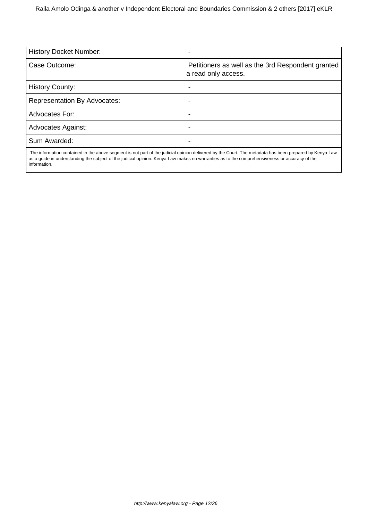| <b>History Docket Number:</b>       |                                                                          |
|-------------------------------------|--------------------------------------------------------------------------|
| Case Outcome:                       | Petitioners as well as the 3rd Respondent granted<br>a read only access. |
| <b>History County:</b>              | -                                                                        |
| <b>Representation By Advocates:</b> |                                                                          |
| Advocates For:                      |                                                                          |
| <b>Advocates Against:</b>           |                                                                          |
| Sum Awarded:                        |                                                                          |
|                                     |                                                                          |

 The information contained in the above segment is not part of the judicial opinion delivered by the Court. The metadata has been prepared by Kenya Law as a guide in understanding the subject of the judicial opinion. Kenya Law makes no warranties as to the comprehensiveness or accuracy of the information.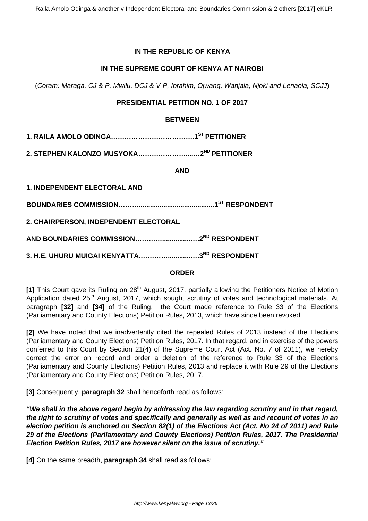## **IN THE REPUBLIC OF KENYA**

## **IN THE SUPREME COURT OF KENYA AT NAIROBI**

(Coram: Maraga, CJ & P, Mwilu, DCJ & V-P, Ibrahim, Ojwang, Wanjala, Njoki and Lenaola, SCJJ**)**

## **PRESIDENTIAL PETITION NO. 1 OF 2017**

#### **BETWEEN**

**1. RAILA AMOLO ODINGA……………………………….1ST PETITIONER**

**2. STEPHEN KALONZO MUSYOKA…………………....…2ND PETITIONER**

**AND**

**1. INDEPENDENT ELECTORAL AND**

**BOUNDARIES COMMISSION………........................................1ST RESPONDENT**

**2. CHAIRPERSON, INDEPENDENT ELECTORAL**

**AND BOUNDARIES COMMISSION…………...............….2ND RESPONDENT**

**3. H.E. UHURU MUIGAI KENYATTA.…………............….3RD RESPONDENT**

#### **ORDER**

[1] This Court gave its Ruling on 28<sup>th</sup> August, 2017, partially allowing the Petitioners Notice of Motion Application dated 25<sup>th</sup> August, 2017, which sought scrutiny of votes and technological materials. At paragraph **[32]** and **[34]** of the Ruling, the Court made reference to Rule 33 of the Elections (Parliamentary and County Elections) Petition Rules, 2013, which have since been revoked.

**[2]** We have noted that we inadvertently cited the repealed Rules of 2013 instead of the Elections (Parliamentary and County Elections) Petition Rules, 2017. In that regard, and in exercise of the powers conferred to this Court by Section 21(4) of the Supreme Court Act (Act. No. 7 of 2011), we hereby correct the error on record and order a deletion of the reference to Rule 33 of the Elections (Parliamentary and County Elections) Petition Rules, 2013 and replace it with Rule 29 of the Elections (Parliamentary and County Elections) Petition Rules, 2017.

**[3]** Consequently, **paragraph 32** shall henceforth read as follows:

**"We shall in the above regard begin by addressing the law regarding scrutiny and in that regard, the right to scrutiny of votes and specifically and generally as well as and recount of votes in an election petition is anchored on Section 82(1) of the Elections Act (Act. No 24 of 2011) and Rule 29 of the Elections (Parliamentary and County Elections) Petition Rules, 2017. The Presidential Election Petition Rules, 2017 are however silent on the issue of scrutiny."**

**[4]** On the same breadth, **paragraph 34** shall read as follows: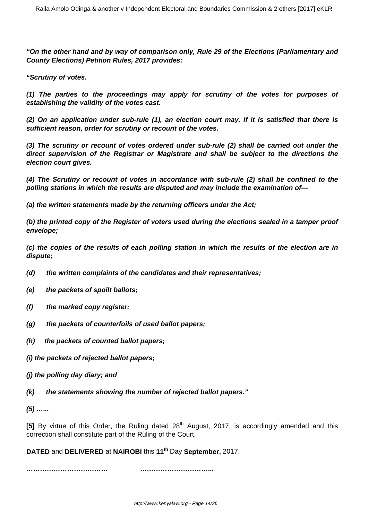**"On the other hand and by way of comparison only, Rule 29 of the Elections (Parliamentary and County Elections) Petition Rules, 2017 provides:**

**"Scrutiny of votes.**

**(1) The parties to the proceedings may apply for scrutiny of the votes for purposes of establishing the validity of the votes cast.**

**(2) On an application under sub-rule (1), an election court may, if it is satisfied that there is sufficient reason, order for scrutiny or recount of the votes.**

**(3) The scrutiny or recount of votes ordered under sub-rule (2) shall be carried out under the direct supervision of the Registrar or Magistrate and shall be subject to the directions the election court gives.**

**(4) The Scrutiny or recount of votes in accordance with sub-rule (2) shall be confined to the polling stations in which the results are disputed and may include the examination of—**

**(a) the written statements made by the returning officers under the Act;** 

**(b) the printed copy of the Register of voters used during the elections sealed in a tamper proof envelope;**

**(c) the copies of the results of each polling station in which the results of the election are in dispute;**

- **(d) the written complaints of the candidates and their representatives;**
- **(e) the packets of spoilt ballots;**
- **(f) the marked copy register;**
- **(g) the packets of counterfoils of used ballot papers;**
- **(h) the packets of counted ballot papers;**

**(i) the packets of rejected ballot papers;** 

- **(j) the polling day diary; and**
- **(k) the statements showing the number of rejected ballot papers."**

**(5) …...**

**[5]** By virtue of this Order, the Ruling dated 28<sup>th</sup> August, 2017, is accordingly amended and this correction shall constitute part of the Ruling of the Court.

**DATED** and **DELIVERED** at **NAIROBI** this **11th** Day **September,** 2017.

**……………………………… …………………………...**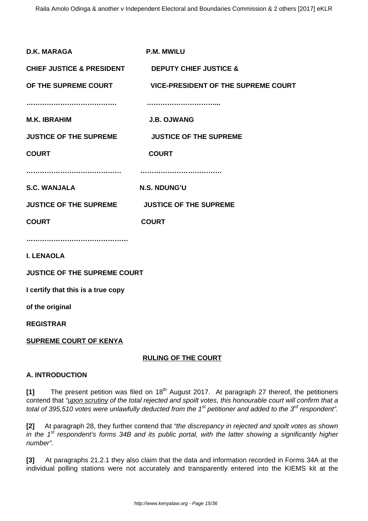| <b>D.K. MARAGA</b>                                              | <b>P.M. MWILU</b>                          |  |
|-----------------------------------------------------------------|--------------------------------------------|--|
| <b>CHIEF JUSTICE &amp; PRESIDENT DEPUTY CHIEF JUSTICE &amp;</b> |                                            |  |
| OF THE SUPREME COURT                                            | <b>VICE-PRESIDENT OF THE SUPREME COURT</b> |  |
|                                                                 |                                            |  |
| <b>M.K. IBRAHIM</b>                                             | <b>J.B. OJWANG</b>                         |  |
| <b>JUSTICE OF THE SUPREME</b>                                   | <b>JUSTICE OF THE SUPREME</b>              |  |
| <b>COURT</b>                                                    | <b>COURT</b>                               |  |
|                                                                 |                                            |  |
| <b>S.C. WANJALA</b>                                             | N.S. NDUNG'U                               |  |
| JUSTICE OF THE SUPREME JUSTICE OF THE SUPREME                   |                                            |  |
| <b>COURT</b>                                                    | <b>COURT</b>                               |  |
|                                                                 |                                            |  |
| <b>I. LENAOLA</b>                                               |                                            |  |
| <b>JUSTICE OF THE SUPREME COURT</b>                             |                                            |  |
| I certify that this is a true copy                              |                                            |  |
| of the original                                                 |                                            |  |
| <b>REGISTRAR</b>                                                |                                            |  |
| <b>SUPREME COURT OF KENYA</b>                                   |                                            |  |

# **RULING OF THE COURT**

# **A. INTRODUCTION**

**[1]** The present petition was filed on 18<sup>th</sup> August 2017. At paragraph 27 thereof, the petitioners contend that "upon scrutiny of the total rejected and spoilt votes, this honourable court will confirm that a total of 395,510 votes were unlawfully deducted from the 1<sup>st</sup> petitioner and added to the 3<sup>rd</sup> respondent".

**[2]** At paragraph 28, they further contend that "the discrepancy in rejected and spoilt votes as shown in the  $1<sup>st</sup>$  respondent's forms 34B and its public portal, with the latter showing a significantly higher number".

**[3]** At paragraphs 21.2.1 they also claim that the data and information recorded in Forms 34A at the individual polling stations were not accurately and transparently entered into the KIEMS kit at the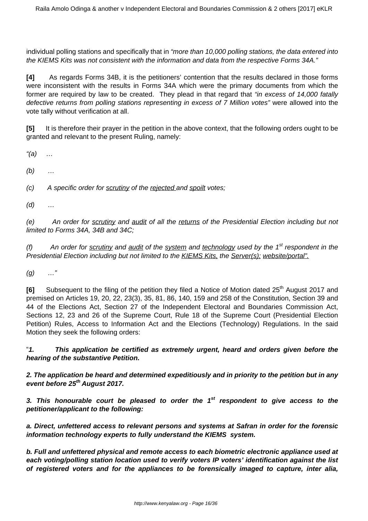individual polling stations and specifically that in "more than 10,000 polling stations, the data entered into the KIEMS Kits was not consistent with the information and data from the respective Forms 34A."

**[4]** As regards Forms 34B, it is the petitioners' contention that the results declared in those forms were inconsistent with the results in Forms 34A which were the primary documents from which the former are required by law to be created. They plead in that regard that "in excess of 14,000 fatally defective returns from polling stations representing in excess of 7 Million votes" were allowed into the vote tally without verification at all.

**[5]** It is therefore their prayer in the petition in the above context, that the following orders ought to be granted and relevant to the present Ruling, namely:

 $''(a)$  ...

 $(b)$  ...

 $(c)$  A specific order for scrutiny of the rejected and spoilt votes;

 $(d)$  ...

(e) An order for scrutiny and audit of all the returns of the Presidential Election including but not limited to Forms 34A, 34B and 34C;

(f) An order for scrutiny and audit of the system and technology used by the  $1^{st}$  respondent in the Presidential Election including but not limited to the KIEMS Kits, the Server(s); website/portal".

 $(g)$  …"

**[6]** Subsequent to the filing of the petition they filed a Notice of Motion dated 25<sup>th</sup> August 2017 and premised on Articles 19, 20, 22, 23(3), 35, 81, 86, 140, 159 and 258 of the Constitution, Section 39 and 44 of the Elections Act, Section 27 of the Independent Electoral and Boundaries Commission Act, Sections 12, 23 and 26 of the Supreme Court, Rule 18 of the Supreme Court (Presidential Election Petition) Rules, Access to Information Act and the Elections (Technology) Regulations. In the said Motion they seek the following orders:

"**1. This application be certified as extremely urgent, heard and orders given before the hearing of the substantive Petition.**

**2. The application be heard and determined expeditiously and in priority to the petition but in any event before 25th August 2017.**

**3. This honourable court be pleased to order the 1st respondent to give access to the petitioner/applicant to the following:**

**a. Direct, unfettered access to relevant persons and systems at Safran in order for the forensic information technology experts to fully understand the KIEMS system.**

**b. Full and unfettered physical and remote access to each biometric electronic appliance used at each voting/polling station location used to verify voters IP voters' identification against the list of registered voters and for the appliances to be forensically imaged to capture, inter alia,**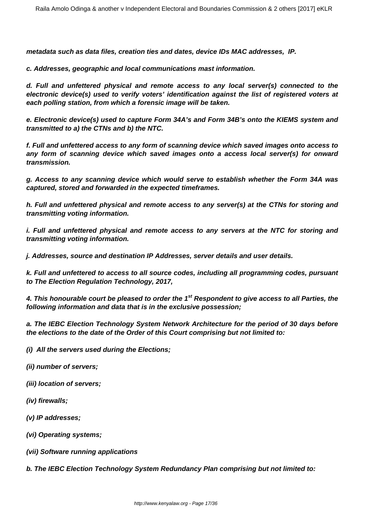**metadata such as data files, creation ties and dates, device IDs MAC addresses, IP.**

**c. Addresses, geographic and local communications mast information.**

**d. Full and unfettered physical and remote access to any local server(s) connected to the electronic device(s) used to verify voters' identification against the list of registered voters at each polling station, from which a forensic image will be taken.**

**e. Electronic device(s) used to capture Form 34A's and Form 34B's onto the KIEMS system and transmitted to a) the CTNs and b) the NTC.**

**f. Full and unfettered access to any form of scanning device which saved images onto access to any form of scanning device which saved images onto a access local server(s) for onward transmission.**

**g. Access to any scanning device which would serve to establish whether the Form 34A was captured, stored and forwarded in the expected timeframes.**

**h. Full and unfettered physical and remote access to any server(s) at the CTNs for storing and transmitting voting information.**

**i. Full and unfettered physical and remote access to any servers at the NTC for storing and transmitting voting information.** 

**j. Addresses, source and destination IP Addresses, server details and user details.**

**k. Full and unfettered to access to all source codes, including all programming codes, pursuant to The Election Regulation Technology, 2017,**

**4. This honourable court be pleased to order the 1st Respondent to give access to all Parties, the following information and data that is in the exclusive possession;**

**a. The IEBC Election Technology System Network Architecture for the period of 30 days before the elections to the date of the Order of this Court comprising but not limited to:**

**(i) All the servers used during the Elections;**

- **(ii) number of servers;**
- **(iii) location of servers;**
- **(iv) firewalls;**
- **(v) IP addresses;**
- **(vi) Operating systems;**
- **(vii) Software running applications**

**b. The IEBC Election Technology System Redundancy Plan comprising but not limited to:**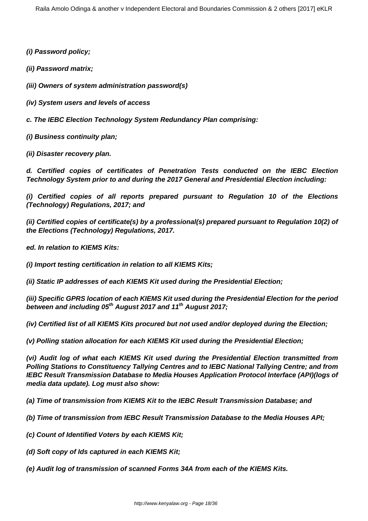**(i) Password policy;**

**(ii) Password matrix;** 

**(iii) Owners of system administration password(s)**

**(iv) System users and levels of access**

**c. The IEBC Election Technology System Redundancy Plan comprising:**

**(i) Business continuity plan;**

**(ii) Disaster recovery plan.**

**d. Certified copies of certificates of Penetration Tests conducted on the IEBC Election Technology System prior to and during the 2017 General and Presidential Election including:**

**(i) Certified copies of all reports prepared pursuant to Regulation 10 of the Elections (Technology) Regulations, 2017; and**

**(ii) Certified copies of certificate(s) by a professional(s) prepared pursuant to Regulation 10(2) of the Elections (Technology) Regulations, 2017.**

**ed. In relation to KIEMS Kits:**

**(i) Import testing certification in relation to all KIEMS Kits;**

**(ii) Static IP addresses of each KIEMS Kit used during the Presidential Election;**

**(iii) Specific GPRS location of each KIEMS Kit used during the Presidential Election for the period between and including 05th August 2017 and 11th August 2017;**

**(iv) Certified list of all KIEMS Kits procured but not used and/or deployed during the Election;**

**(v) Polling station allocation for each KIEMS Kit used during the Presidential Election;**

**(vi) Audit log of what each KIEMS Kit used during the Presidential Election transmitted from Polling Stations to Constituency Tallying Centres and to IEBC National Tallying Centre; and from IEBC Result Transmission Database to Media Houses Application Protocol Interface (API)(logs of media data update). Log must also show:**

**(a) Time of transmission from KIEMS Kit to the IEBC Result Transmission Database; and** 

**(b) Time of transmission from IEBC Result Transmission Database to the Media Houses API;**

**(c) Count of Identified Voters by each KIEMS Kit;**

**(d) Soft copy of Ids captured in each KIEMS Kit;**

**(e) Audit log of transmission of scanned Forms 34A from each of the KIEMS Kits.**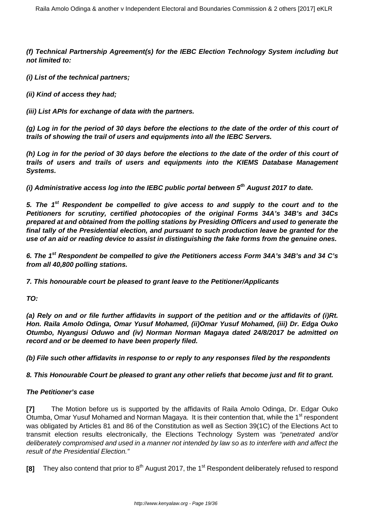**(f) Technical Partnership Agreement(s) for the IEBC Election Technology System including but not limited to:**

**(i) List of the technical partners;**

**(ii) Kind of access they had;**

**(iii) List APIs for exchange of data with the partners.**

**(g) Log in for the period of 30 days before the elections to the date of the order of this court of trails of showing the trail of users and equipments into all the IEBC Servers.**

**(h) Log in for the period of 30 days before the elections to the date of the order of this court of trails of users and trails of users and equipments into the KIEMS Database Management Systems.**

**(i) Administrative access log into the IEBC public portal between 5th August 2017 to date.**

**5. The 1st Respondent be compelled to give access to and supply to the court and to the Petitioners for scrutiny, certified photocopies of the original Forms 34A's 34B's and 34Cs prepared at and obtained from the polling stations by Presiding Officers and used to generate the final tally of the Presidential election, and pursuant to such production leave be granted for the use of an aid or reading device to assist in distinguishing the fake forms from the genuine ones.**

**6. The 1st Respondent be compelled to give the Petitioners access Form 34A's 34B's and 34 C's from all 40,800 polling stations.** 

**7. This honourable court be pleased to grant leave to the Petitioner/Applicants**

**TO:**

**(a) Rely on and or file further affidavits in support of the petition and or the affidavits of (i)Rt. Hon. Raila Amolo Odinga, Omar Yusuf Mohamed, (ii)Omar Yusuf Mohamed, (iii) Dr. Edga Ouko Otumbo, Nyangusi Oduwo and (iv) Norman Norman Magaya dated 24/8/2017 be admitted on record and or be deemed to have been properly filed.**

**(b) File such other affidavits in response to or reply to any responses filed by the respondents**

## **8. This Honourable Court be pleased to grant any other reliefs that become just and fit to grant.**

## **The Petitioner's case**

**[7]** The Motion before us is supported by the affidavits of Raila Amolo Odinga, Dr. Edgar Ouko Otumba, Omar Yusuf Mohamed and Norman Magaya. It is their contention that, while the 1<sup>st</sup> respondent was obligated by Articles 81 and 86 of the Constitution as well as Section 39(1C) of the Elections Act to transmit election results electronically, the Elections Technology System was "penetrated and/or deliberately compromised and used in a manner not intended by law so as to interfere with and affect the result of the Presidential Election."

**[8]** They also contend that prior to 8<sup>th</sup> August 2017, the 1<sup>st</sup> Respondent deliberately refused to respond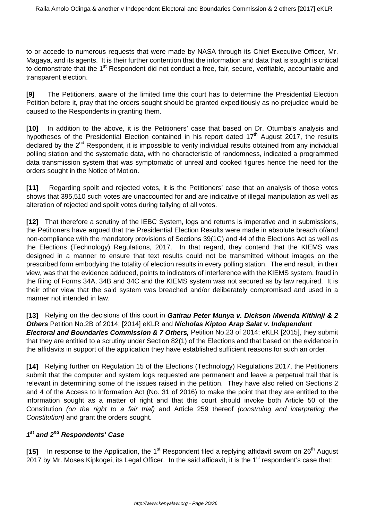to or accede to numerous requests that were made by NASA through its Chief Executive Officer, Mr. Magaya, and its agents. It is their further contention that the information and data that is sought is critical to demonstrate that the 1<sup>st</sup> Respondent did not conduct a free, fair, secure, verifiable, accountable and transparent election.

**[9]** The Petitioners, aware of the limited time this court has to determine the Presidential Election Petition before it, pray that the orders sought should be granted expeditiously as no prejudice would be caused to the Respondents in granting them.

**[10]** In addition to the above, it is the Petitioners' case that based on Dr. Otumba's analysis and hypotheses of the Presidential Election contained in his report dated  $17<sup>th</sup>$  August 2017, the results declared by the 2<sup>nd</sup> Respondent, it is impossible to verify individual results obtained from any individual polling station and the systematic data, with no characteristic of randomness, indicated a programmed data transmission system that was symptomatic of unreal and cooked figures hence the need for the orders sought in the Notice of Motion.

**[11]** Regarding spoilt and rejected votes, it is the Petitioners' case that an analysis of those votes shows that 395,510 such votes are unaccounted for and are indicative of illegal manipulation as well as alteration of rejected and spoilt votes during tallying of all votes.

**[12]** That therefore a scrutiny of the IEBC System, logs and returns is imperative and in submissions, the Petitioners have argued that the Presidential Election Results were made in absolute breach of/and non-compliance with the mandatory provisions of Sections 39(1C) and 44 of the Elections Act as well as the Elections (Technology) Regulations, 2017. In that regard, they contend that the KIEMS was designed in a manner to ensure that text results could not be transmitted without images on the prescribed form embodying the totality of election results in every polling station. The end result, in their view, was that the evidence adduced, points to indicators of interference with the KIEMS system, fraud in the filing of Forms 34A, 34B and 34C and the KIEMS system was not secured as by law required. It is their other view that the said system was breached and/or deliberately compromised and used in a manner not intended in law.

**[13]** Relying on the decisions of this court in **Gatirau Peter Munya v. Dickson Mwenda Kithinji & 2 Others** Petition No.2B of 2014; [2014] eKLR and **Nicholas Kiptoo Arap Salat v. Independent Electoral and Boundaries Commission & 7 Others,** Petition No.23 of 2014; eKLR [2015], they submit that they are entitled to a scrutiny under Section 82(1) of the Elections and that based on the evidence in the affidavits in support of the application they have established sufficient reasons for such an order.

**[14]** Relying further on Regulation 15 of the Elections (Technology) Regulations 2017, the Petitioners submit that the computer and system logs requested are permanent and leave a perpetual trail that is relevant in determining some of the issues raised in the petition. They have also relied on Sections 2 and 4 of the Access to Information Act (No. 31 of 2016) to make the point that they are entitled to the information sought as a matter of right and that this court should invoke both Article 50 of the Constitution (on the right to a fair trial) and Article 259 thereof (construing and interpreting the Constitution) and grant the orders sought.

# **1 st and 2nd Respondents' Case**

**[15]** In response to the Application, the 1<sup>st</sup> Respondent filed a replying affidavit sworn on 26<sup>th</sup> August 2017 by Mr. Moses Kipkogei, its Legal Officer. In the said affidavit, it is the 1<sup>st</sup> respondent's case that: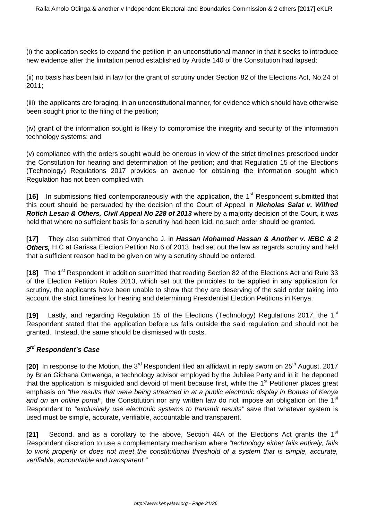(i) the application seeks to expand the petition in an unconstitutional manner in that it seeks to introduce new evidence after the limitation period established by Article 140 of the Constitution had lapsed;

(ii) no basis has been laid in law for the grant of scrutiny under Section 82 of the Elections Act, No.24 of 2011;

(iii) the applicants are foraging, in an unconstitutional manner, for evidence which should have otherwise been sought prior to the filing of the petition;

(iv) grant of the information sought is likely to compromise the integrity and security of the information technology systems; and

(v) compliance with the orders sought would be onerous in view of the strict timelines prescribed under the Constitution for hearing and determination of the petition; and that Regulation 15 of the Elections (Technology) Regulations 2017 provides an avenue for obtaining the information sought which Regulation has not been complied with.

**[16]** In submissions filed contemporaneously with the application, the 1<sup>st</sup> Respondent submitted that this court should be persuaded by the decision of the Court of Appeal in **Nicholas Salat v. Wilfred Rotich Lesan & Others, Civil Appeal No 228 of 2013** where by a majority decision of the Court, it was held that where no sufficient basis for a scrutiny had been laid, no such order should be granted.

**[17]** They also submitted that Onyancha J. in **Hassan Mohamed Hassan & Another v. IEBC & 2 Others,** H.C at Garissa Election Petition No.6 of 2013, had set out the law as regards scrutiny and held that a sufficient reason had to be given on why a scrutiny should be ordered.

**[18]** The 1<sup>st</sup> Respondent in addition submitted that reading Section 82 of the Elections Act and Rule 33 of the Election Petition Rules 2013, which set out the principles to be applied in any application for scrutiny, the applicants have been unable to show that they are deserving of the said order taking into account the strict timelines for hearing and determining Presidential Election Petitions in Kenya.

**[19]** Lastly, and regarding Regulation 15 of the Elections (Technology) Regulations 2017, the 1<sup>st</sup> Respondent stated that the application before us falls outside the said regulation and should not be granted. Instead, the same should be dismissed with costs.

# **3 rd Respondent's Case**

**[20]** In response to the Motion, the 3<sup>rd</sup> Respondent filed an affidavit in reply sworn on 25<sup>th</sup> August, 2017 by Brian Gichana Omwenga, a technology advisor employed by the Jubilee Party and in it, he deponed that the application is misquided and devoid of merit because first, while the 1<sup>st</sup> Petitioner places great emphasis on "the results that were being streamed in at a public electronic display in Bomas of Kenya and on an online portal", the Constitution nor any written law do not impose an obligation on the 1<sup>st</sup> Respondent to "exclusively use electronic systems to transmit results" save that whatever system is used must be simple, accurate, verifiable, accountable and transparent.

**[21]** Second, and as a corollary to the above, Section 44A of the Elections Act grants the 1st Respondent discretion to use a complementary mechanism where "technology either fails entirely, fails to work properly or does not meet the constitutional threshold of a system that is simple, accurate, verifiable, accountable and transparent."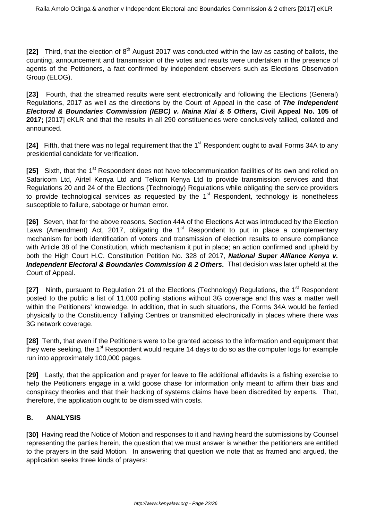**[22]** Third, that the election of 8<sup>th</sup> August 2017 was conducted within the law as casting of ballots, the counting, announcement and transmission of the votes and results were undertaken in the presence of agents of the Petitioners, a fact confirmed by independent observers such as Elections Observation Group (ELOG).

**[23]** Fourth, that the streamed results were sent electronically and following the Elections (General) Regulations, 2017 as well as the directions by the Court of Appeal in the case of **The Independent Electoral & Boundaries Commission (IEBC) v. Maina Kiai & 5 Others, Civil Appeal No. 105 of 2017;** [2017] eKLR and that the results in all 290 constituencies were conclusively tallied, collated and announced.

**[24]** Fifth, that there was no legal requirement that the 1<sup>st</sup> Respondent ought to avail Forms 34A to any presidential candidate for verification.

**[25]** Sixth, that the 1<sup>st</sup> Respondent does not have telecommunication facilities of its own and relied on Safaricom Ltd, Airtel Kenya Ltd and Telkom Kenya Ltd to provide transmission services and that Regulations 20 and 24 of the Elections (Technology) Regulations while obligating the service providers to provide technological services as requested by the  $1<sup>st</sup>$  Respondent, technology is nonetheless susceptible to failure, sabotage or human error.

**[26]** Seven, that for the above reasons, Section 44A of the Elections Act was introduced by the Election Laws (Amendment) Act, 2017, obligating the  $1<sup>st</sup>$  Respondent to put in place a complementary mechanism for both identification of voters and transmission of election results to ensure compliance with Article 38 of the Constitution, which mechanism it put in place; an action confirmed and upheld by both the High Court H.C. Constitution Petition No. 328 of 2017, **National Super Alliance Kenya v. Independent Electoral & Boundaries Commission & 2 Others.** That decision was later upheld at the Court of Appeal.

**[27]** Ninth, pursuant to Regulation 21 of the Elections (Technology) Regulations, the 1<sup>st</sup> Respondent posted to the public a list of 11,000 polling stations without 3G coverage and this was a matter well within the Petitioners' knowledge. In addition, that in such situations, the Forms 34A would be ferried physically to the Constituency Tallying Centres or transmitted electronically in places where there was 3G network coverage.

**[28]** Tenth, that even if the Petitioners were to be granted access to the information and equipment that they were seeking, the 1<sup>st</sup> Respondent would require 14 days to do so as the computer logs for example run into approximately 100,000 pages.

**[29]** Lastly, that the application and prayer for leave to file additional affidavits is a fishing exercise to help the Petitioners engage in a wild goose chase for information only meant to affirm their bias and conspiracy theories and that their hacking of systems claims have been discredited by experts. That, therefore, the application ought to be dismissed with costs.

# **B. ANALYSIS**

**[30]** Having read the Notice of Motion and responses to it and having heard the submissions by Counsel representing the parties herein, the question that we must answer is whether the petitioners are entitled to the prayers in the said Motion. In answering that question we note that as framed and argued, the application seeks three kinds of prayers: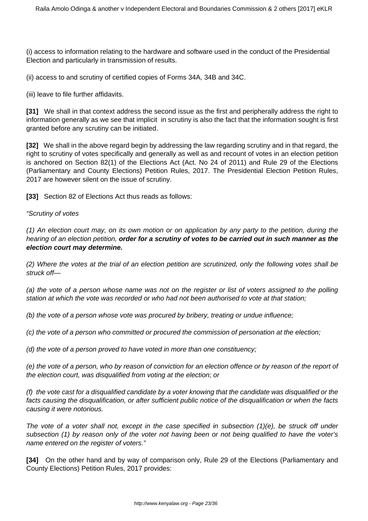(i) access to information relating to the hardware and software used in the conduct of the Presidential Election and particularly in transmission of results.

(ii) access to and scrutiny of certified copies of Forms 34A, 34B and 34C.

(iii) leave to file further affidavits.

**[31]** We shall in that context address the second issue as the first and peripherally address the right to information generally as we see that implicit in scrutiny is also the fact that the information sought is first granted before any scrutiny can be initiated.

**[32]** We shall in the above regard begin by addressing the law regarding scrutiny and in that regard, the right to scrutiny of votes specifically and generally as well as and recount of votes in an election petition is anchored on Section 82(1) of the Elections Act (Act. No 24 of 2011) and Rule 29 of the Elections (Parliamentary and County Elections) Petition Rules, 2017. The Presidential Election Petition Rules, 2017 are however silent on the issue of scrutiny.

**[33]** Section 82 of Elections Act thus reads as follows:

#### "Scrutiny of votes

(1) An election court may, on its own motion or on application by any party to the petition, during the hearing of an election petition, **order for a scrutiny of votes to be carried out in such manner as the election court may determine.**

(2) Where the votes at the trial of an election petition are scrutinized, only the following votes shall be struck off—

(a) the vote of a person whose name was not on the register or list of voters assigned to the polling station at which the vote was recorded or who had not been authorised to vote at that station;

(b) the vote of a person whose vote was procured by bribery, treating or undue influence;

(c) the vote of a person who committed or procured the commission of personation at the election;

(d) the vote of a person proved to have voted in more than one constituency;

(e) the vote of a person, who by reason of conviction for an election offence or by reason of the report of the election court, was disqualified from voting at the election; or

(f) the vote cast for a disqualified candidate by a voter knowing that the candidate was disqualified or the facts causing the disqualification, or after sufficient public notice of the disqualification or when the facts causing it were notorious.

The vote of a voter shall not, except in the case specified in subsection (1)(e), be struck off under subsection (1) by reason only of the voter not having been or not being qualified to have the voter's name entered on the register of voters."

**[34]** On the other hand and by way of comparison only, Rule 29 of the Elections (Parliamentary and County Elections) Petition Rules, 2017 provides: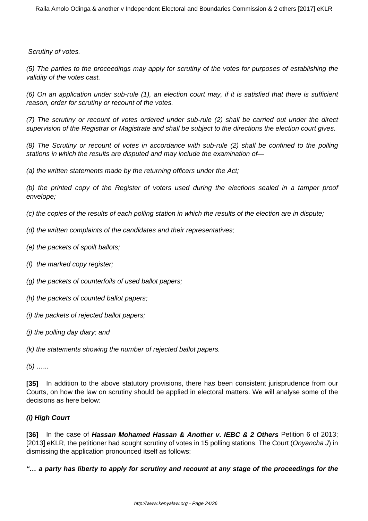Scrutiny of votes.

(5) The parties to the proceedings may apply for scrutiny of the votes for purposes of establishing the validity of the votes cast.

(6) On an application under sub-rule (1), an election court may, if it is satisfied that there is sufficient reason, order for scrutiny or recount of the votes.

(7) The scrutiny or recount of votes ordered under sub-rule (2) shall be carried out under the direct supervision of the Registrar or Magistrate and shall be subject to the directions the election court gives.

(8) The Scrutiny or recount of votes in accordance with sub-rule (2) shall be confined to the polling stations in which the results are disputed and may include the examination of—

(a) the written statements made by the returning officers under the Act;

(b) the printed copy of the Register of voters used during the elections sealed in a tamper proof envelope;

(c) the copies of the results of each polling station in which the results of the election are in dispute;

- (d) the written complaints of the candidates and their representatives;
- (e) the packets of spoilt ballots;
- (f) the marked copy register;
- (g) the packets of counterfoils of used ballot papers;
- (h) the packets of counted ballot papers;
- (i) the packets of rejected ballot papers;
- (j) the polling day diary; and

(k) the statements showing the number of rejected ballot papers.

 $(5)$  ……

**[35]** In addition to the above statutory provisions, there has been consistent jurisprudence from our Courts, on how the law on scrutiny should be applied in electoral matters. We will analyse some of the decisions as here below:

# **(i) High Court**

**[36]** In the case of **Hassan Mohamed Hassan & Another v. IEBC & 2 Others** Petition 6 of 2013; [2013] eKLR, the petitioner had sought scrutiny of votes in 15 polling stations. The Court (Onyancha J) in dismissing the application pronounced itself as follows:

**"… a party has liberty to apply for scrutiny and recount at any stage of the proceedings for the**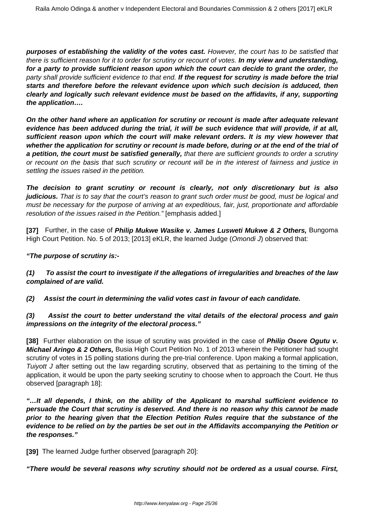**purposes of establishing the validity of the votes cast.** However, the court has to be satisfied that there is sufficient reason for it to order for scrutiny or recount of votes. **In my view and understanding, for a party to provide sufficient reason upon which the court can decide to grant the order,** the party shall provide sufficient evidence to that end. **If the request for scrutiny is made before the trial starts and therefore before the relevant evidence upon which such decision is adduced, then clearly and logically such relevant evidence must be based on the affidavits, if any, supporting the application….**

**On the other hand where an application for scrutiny or recount is made after adequate relevant evidence has been adduced during the trial, it will be such evidence that will provide, if at all, sufficient reason upon which the court will make relevant orders. It is my view however that whether the application for scrutiny or recount is made before, during or at the end of the trial of a petition, the court must be satisfied generally,** that there are sufficient grounds to order a scrutiny or recount on the basis that such scrutiny or recount will be in the interest of fairness and justice in settling the issues raised in the petition.

**The decision to grant scrutiny or recount is clearly, not only discretionary but is also judicious.** That is to say that the court's reason to grant such order must be good, must be logical and must be necessary for the purpose of arriving at an expeditious, fair, just, proportionate and affordable resolution of the issues raised in the Petition." [emphasis added.]

**[37]** Further, in the case of **Philip Mukwe Wasike v. James Lusweti Mukwe & 2 Others,** Bungoma High Court Petition. No. 5 of 2013; [2013] eKLR, the learned Judge (Omondi J) observed that:

# **"The purpose of scrutiny is:-**

**(1) To assist the court to investigate if the allegations of irregularities and breaches of the law complained of are valid.**

**(2) Assist the court in determining the valid votes cast in favour of each candidate.**

## **(3) Assist the court to better understand the vital details of the electoral process and gain impressions on the integrity of the electoral process."**

**[38]** Further elaboration on the issue of scrutiny was provided in the case of **Philip Osore Ogutu v. Michael Aringo & 2 Others,** Busia High Court Petition No. 1 of 2013 wherein the Petitioner had sought scrutiny of votes in 15 polling stations during the pre-trial conference. Upon making a formal application, Tuiyott J after setting out the law regarding scrutiny, observed that as pertaining to the timing of the application, it would be upon the party seeking scrutiny to choose when to approach the Court. He thus observed [paragraph 18]:

**"…It all depends, I think, on the ability of the Applicant to marshal sufficient evidence to persuade the Court that scrutiny is deserved. And there is no reason why this cannot be made prior to the hearing given that the Election Petition Rules require that the substance of the evidence to be relied on by the parties be set out in the Affidavits accompanying the Petition or the responses."**

**[39]** The learned Judge further observed [paragraph 20]:

**"There would be several reasons why scrutiny should not be ordered as a usual course. First,**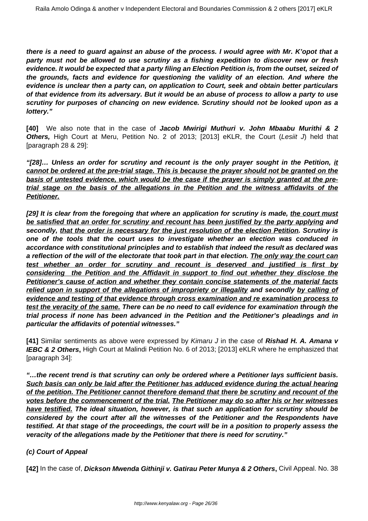**there is a need to guard against an abuse of the process. I would agree with Mr. K'opot that a party must not be allowed to use scrutiny as a fishing expedition to discover new or fresh evidence. It would be expected that a party filing an Election Petition is, from the outset, seized of the grounds, facts and evidence for questioning the validity of an election. And where the evidence is unclear then a party can, on application to Court, seek and obtain better particulars of that evidence from its adversary. But it would be an abuse of process to allow a party to use scrutiny for purposes of chancing on new evidence. Scrutiny should not be looked upon as a lottery."**

**[40]** We also note that in the case of **Jacob Mwirigi Muthuri v. John Mbaabu Murithi & 2 Others,** High Court at Meru, Petition No. 2 of 2013; [2013] eKLR, the Court (Lesiit J) held that [paragraph 28 & 29]:

**"[28]… Unless an order for scrutiny and recount is the only prayer sought in the Petition, it cannot be ordered at the pre-trial stage. This is because the prayer should not be granted on the basis of untested evidence, which would be the case if the prayer is simply granted at the pretrial stage on the basis of the allegations in the Petition and the witness affidavits of the Petitioner.**

**[29] It is clear from the foregoing that where an application for scrutiny is made, the court must be satisfied that an order for scrutiny and recount has been justified by the party applying and secondly, that the order is necessary for the just resolution of the election Petition. Scrutiny is one of the tools that the court uses to investigate whether an election was conduced in accordance with constitutional principles and to establish that indeed the result as declared was a reflection of the will of the electorate that took part in that election. The only way the court can test whether an order for scrutiny and recount is deserved and justified is first by considering the Petition and the Affidavit in support to find out whether they disclose the Petitioner's cause of action and whether they contain concise statements of the material facts relied upon in support of the allegations of impropriety or illegality and secondly by calling of evidence and testing of that evidence through cross examination and re examination process to test the veracity of the same. There can be no need to call evidence for examination through the trial process if none has been advanced in the Petition and the Petitioner's pleadings and in particular the affidavits of potential witnesses."**

**[41]** Similar sentiments as above were expressed by Kimaru J in the case of **Rishad H. A. Amana v IEBC & 2 Others,** High Court at Malindi Petition No. 6 of 2013; [2013] eKLR where he emphasized that [paragraph 34]:

**"…the recent trend is that scrutiny can only be ordered where a Petitioner lays sufficient basis. Such basis can only be laid after the Petitioner has adduced evidence during the actual hearing of the petition. The Petitioner cannot therefore demand that there be scrutiny and recount of the votes before the commencement of the trial. The Petitioner may do so after his or her witnesses have testified. The ideal situation, however, is that such an application for scrutiny should be considered by the court after all the witnesses of the Petitioner and the Respondents have testified. At that stage of the proceedings, the court will be in a position to properly assess the veracity of the allegations made by the Petitioner that there is need for scrutiny."**

# **(c) Court of Appeal**

**[42]** In the case of, **Dickson Mwenda Githinji v. Gatirau Peter Munya & 2 Others,** Civil Appeal. No. 38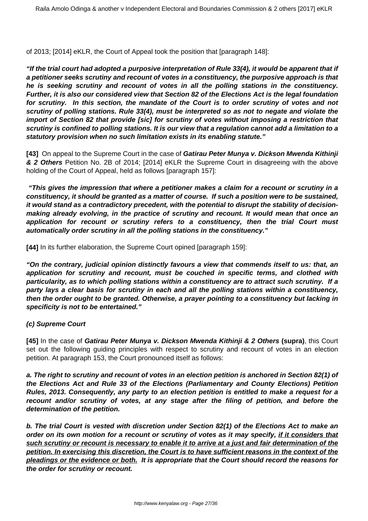of 2013; [2014] eKLR, the Court of Appeal took the position that [paragraph 148]:

**"If the trial court had adopted a purposive interpretation of Rule 33(4), it would be apparent that if a petitioner seeks scrutiny and recount of votes in a constituency, the purposive approach is that he is seeking scrutiny and recount of votes in all the polling stations in the constituency. Further, it is also our considered view that Section 82 of the Elections Act is the legal foundation for scrutiny. In this section, the mandate of the Court is to order scrutiny of votes and not scrutiny of polling stations. Rule 33(4), must be interpreted so as not to negate and violate the import of Section 82 that provide [sic] for scrutiny of votes without imposing a restriction that scrutiny is confined to polling stations. It is our view that a regulation cannot add a limitation to a statutory provision when no such limitation exists in its enabling statute."**

**[43]** On appeal to the Supreme Court in the case of **Gatirau Peter Munya v. Dickson Mwenda Kithinji & 2 Others** Petition No. 2B of 2014; [2014] eKLR the Supreme Court in disagreeing with the above holding of the Court of Appeal, held as follows [paragraph 157]:

**"This gives the impression that where a petitioner makes a claim for a recount or scrutiny in a constituency, it should be granted as a matter of course. If such a position were to be sustained, it would stand as a contradictory precedent, with the potential to disrupt the stability of decisionmaking already evolving, in the practice of scrutiny and recount. It would mean that once an application for recount or scrutiny refers to a constituency, then the trial Court must automatically order scrutiny in all the polling stations in the constituency."**

**[44]** In its further elaboration, the Supreme Court opined [paragraph 159]:

**"On the contrary, judicial opinion distinctly favours a view that commends itself to us: that, an application for scrutiny and recount, must be couched in specific terms, and clothed with particularity, as to which polling stations within a constituency are to attract such scrutiny. If a party lays a clear basis for scrutiny in each and all the polling stations within a constituency, then the order ought to be granted. Otherwise, a prayer pointing to a constituency but lacking in specificity is not to be entertained."** 

## **(c) Supreme Court**

**[45]** In the case of **Gatirau Peter Munya v. Dickson Mwenda Kithinji & 2 Others (supra)**, this Court set out the following guiding principles with respect to scrutiny and recount of votes in an election petition. At paragraph 153, the Court pronounced itself as follows:

**a. The right to scrutiny and recount of votes in an election petition is anchored in Section 82(1) of the Elections Act and Rule 33 of the Elections (Parliamentary and County Elections) Petition Rules, 2013. Consequently, any party to an election petition is entitled to make a request for a recount and/or scrutiny of votes, at any stage after the filing of petition, and before the determination of the petition.**

**b. The trial Court is vested with discretion under Section 82(1) of the Elections Act to make an order on its own motion for a recount or scrutiny of votes as it may specify, if it considers that such scrutiny or recount is necessary to enable it to arrive at a just and fair determination of the petition. In exercising this discretion, the Court is to have sufficient reasons in the context of the pleadings or the evidence or both. It is appropriate that the Court should record the reasons for the order for scrutiny or recount.**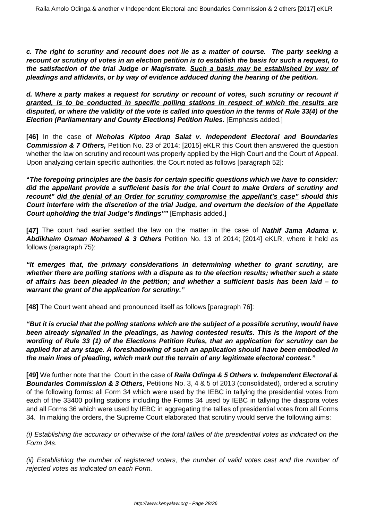**c. The right to scrutiny and recount does not lie as a matter of course. The party seeking a recount or scrutiny of votes in an election petition is to establish the basis for such a request, to the satisfaction of the trial Judge or Magistrate. Such a basis may be established by way of pleadings and affidavits, or by way of evidence adduced during the hearing of the petition.**

**d. Where a party makes a request for scrutiny or recount of votes, such scrutiny or recount if granted, is to be conducted in specific polling stations in respect of which the results are disputed, or where the validity of the vote is called into question in the terms of Rule 33(4) of the Election (Parliamentary and County Elections) Petition Rules.** [Emphasis added.]

**[46]** In the case of **Nicholas Kiptoo Arap Salat v. Independent Electoral and Boundaries Commission & 7 Others,** Petition No. 23 of 2014; [2015] eKLR this Court then answered the question whether the law on scrutiny and recount was properly applied by the High Court and the Court of Appeal. Upon analyzing certain specific authorities, the Court noted as follows [paragraph 52]:

**"The foregoing principles are the basis for certain specific questions which we have to consider: did the appellant provide a sufficient basis for the trial Court to make Orders of scrutiny and recount" did the denial of an Order for scrutiny compromise the appellant's case" should this Court interfere with the discretion of the trial Judge, and overturn the decision of the Appellate Court upholding the trial Judge's findings""** [Emphasis added.]

**[47]** The court had earlier settled the law on the matter in the case of **Nathif Jama Adama v. Abdikhaim Osman Mohamed & 3 Others** Petition No. 13 of 2014; [2014] eKLR, where it held as follows (paragraph 75):

**"It emerges that, the primary considerations in determining whether to grant scrutiny, are whether there are polling stations with a dispute as to the election results; whether such a state of affairs has been pleaded in the petition; and whether a sufficient basis has been laid – to warrant the grant of the application for scrutiny."**

**[48]** The Court went ahead and pronounced itself as follows [paragraph 76]:

**"But it is crucial that the polling stations which are the subject of a possible scrutiny, would have been already signalled in the pleadings, as having contested results. This is the import of the wording of Rule 33 (1) of the Elections Petition Rules, that an application for scrutiny can be applied for at any stage. A foreshadowing of such an application should have been embodied in the main lines of pleading, which mark out the terrain of any legitimate electoral contest."**

**[49]** We further note that the Court in the case of **Raila Odinga & 5 Others v. Independent Electoral & Boundaries Commission & 3 Others,** Petitions No. 3, 4 & 5 of 2013 (consolidated), ordered a scrutiny of the following forms: all Form 34 which were used by the IEBC in tallying the presidential votes from each of the 33400 polling stations including the Forms 34 used by IEBC in tallying the diaspora votes and all Forms 36 which were used by IEBC in aggregating the tallies of presidential votes from all Forms 34. In making the orders, the Supreme Court elaborated that scrutiny would serve the following aims:

(i) Establishing the accuracy or otherwise of the total tallies of the presidential votes as indicated on the Form 34s.

(ii) Establishing the number of registered voters, the number of valid votes cast and the number of rejected votes as indicated on each Form.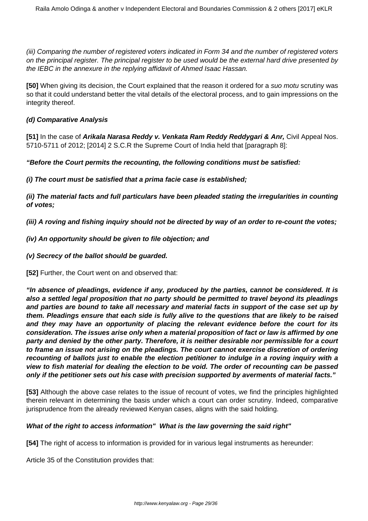(iii) Comparing the number of registered voters indicated in Form 34 and the number of registered voters on the principal register. The principal register to be used would be the external hard drive presented by the IEBC in the annexure in the replying affidavit of Ahmed Isaac Hassan.

**[50]** When giving its decision, the Court explained that the reason it ordered for a suo motu scrutiny was so that it could understand better the vital details of the electoral process, and to gain impressions on the integrity thereof.

## **(d) Comparative Analysis**

**[51]** In the case of **Arikala Narasa Reddy v. Venkata Ram Reddy Reddygari & Anr,** Civil Appeal Nos. 5710-5711 of 2012; [2014] 2 S.C.R the Supreme Court of India held that [paragraph 8]:

**"Before the Court permits the recounting, the following conditions must be satisfied:**

**(i) The court must be satisfied that a prima facie case is established;**

**(ii) The material facts and full particulars have been pleaded stating the irregularities in counting of votes;**

**(iii) A roving and fishing inquiry should not be directed by way of an order to re-count the votes;**

## **(iv) An opportunity should be given to file objection; and**

## **(v) Secrecy of the ballot should be guarded.**

**[52]** Further, the Court went on and observed that:

**"In absence of pleadings, evidence if any, produced by the parties, cannot be considered. It is also a settled legal proposition that no party should be permitted to travel beyond its pleadings and parties are bound to take all necessary and material facts in support of the case set up by them. Pleadings ensure that each side is fully alive to the questions that are likely to be raised and they may have an opportunity of placing the relevant evidence before the court for its consideration. The issues arise only when a material proposition of fact or law is affirmed by one party and denied by the other party. Therefore, it is neither desirable nor permissible for a court to frame an issue not arising on the pleadings. The court cannot exercise discretion of ordering recounting of ballots just to enable the election petitioner to indulge in a roving inquiry with a view to fish material for dealing the election to be void. The order of recounting can be passed only if the petitioner sets out his case with precision supported by averments of material facts."**

**[53]** Although the above case relates to the issue of recount of votes, we find the principles highlighted therein relevant in determining the basis under which a court can order scrutiny. Indeed, comparative jurisprudence from the already reviewed Kenyan cases, aligns with the said holding.

## **What of the right to access information" What is the law governing the said right"**

**[54]** The right of access to information is provided for in various legal instruments as hereunder:

Article 35 of the Constitution provides that: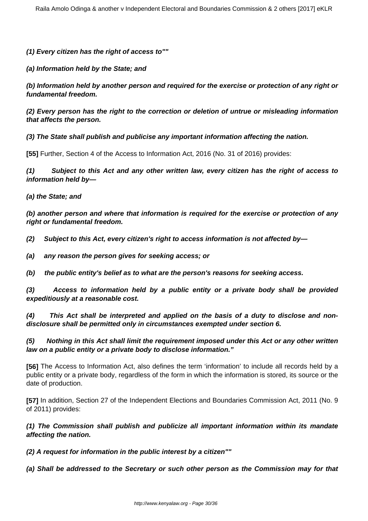**(1) Every citizen has the right of access to""**

**(a) Information held by the State; and**

**(b) Information held by another person and required for the exercise or protection of any right or fundamental freedom.**

**(2) Every person has the right to the correction or deletion of untrue or misleading information that affects the person.**

**(3) The State shall publish and publicise any important information affecting the nation.**

**[55]** Further, Section 4 of the Access to Information Act, 2016 (No. 31 of 2016) provides:

**(1) Subject to this Act and any other written law, every citizen has the right of access to information held by—**

**(a) the State; and**

**(b) another person and where that information is required for the exercise or protection of any right or fundamental freedom.**

**(2) Subject to this Act, every citizen's right to access information is not affected by—**

**(a) any reason the person gives for seeking access; or**

**(b) the public entity's belief as to what are the person's reasons for seeking access.**

**(3) Access to information held by a public entity or a private body shall be provided expeditiously at a reasonable cost.**

**(4) This Act shall be interpreted and applied on the basis of a duty to disclose and nondisclosure shall be permitted only in circumstances exempted under section 6.**

**(5) Nothing in this Act shall limit the requirement imposed under this Act or any other written law on a public entity or a private body to disclose information."**

**[56]** The Access to Information Act, also defines the term 'information' to include all records held by a public entity or a private body, regardless of the form in which the information is stored, its source or the date of production.

**[57]** In addition, Section 27 of the Independent Elections and Boundaries Commission Act, 2011 (No. 9 of 2011) provides:

**(1) The Commission shall publish and publicize all important information within its mandate affecting the nation.**

**(2) A request for information in the public interest by a citizen""**

**(a) Shall be addressed to the Secretary or such other person as the Commission may for that**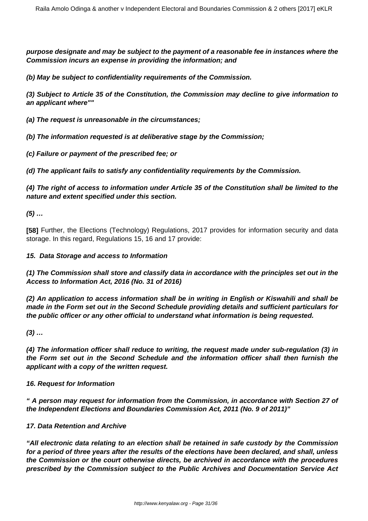**purpose designate and may be subject to the payment of a reasonable fee in instances where the Commission incurs an expense in providing the information; and**

**(b) May be subject to confidentiality requirements of the Commission.**

**(3) Subject to Article 35 of the Constitution, the Commission may decline to give information to an applicant where""**

- **(a) The request is unreasonable in the circumstances;**
- **(b) The information requested is at deliberative stage by the Commission;**
- **(c) Failure or payment of the prescribed fee; or**

**(d) The applicant fails to satisfy any confidentiality requirements by the Commission.**

**(4) The right of access to information under Article 35 of the Constitution shall be limited to the nature and extent specified under this section.**

**(5) …**

**[58]** Further, the Elections (Technology) Regulations, 2017 provides for information security and data storage. In this regard, Regulations 15, 16 and 17 provide:

#### **15. Data Storage and access to Information**

**(1) The Commission shall store and classify data in accordance with the principles set out in the Access to Information Act, 2016 (No. 31 of 2016)**

**(2) An application to access information shall be in writing in English or Kiswahili and shall be made in the Form set out in the Second Schedule providing details and sufficient particulars for the public officer or any other official to understand what information is being requested.**

**(3) …**

**(4) The information officer shall reduce to writing, the request made under sub-regulation (3) in the Form set out in the Second Schedule and the information officer shall then furnish the applicant with a copy of the written request.**

#### **16. Request for Information**

**" A person may request for information from the Commission, in accordance with Section 27 of the Independent Elections and Boundaries Commission Act, 2011 (No. 9 of 2011)"**

#### **17. Data Retention and Archive**

**"All electronic data relating to an election shall be retained in safe custody by the Commission for a period of three years after the results of the elections have been declared, and shall, unless the Commission or the court otherwise directs, be archived in accordance with the procedures prescribed by the Commission subject to the Public Archives and Documentation Service Act**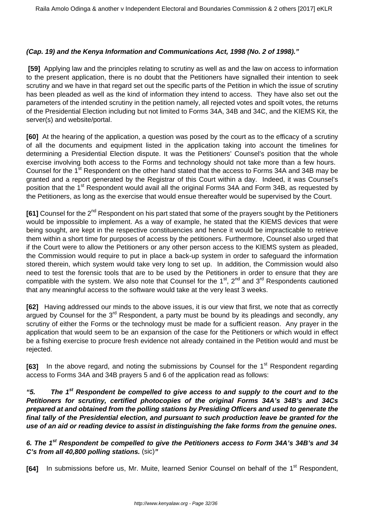## **(Cap. 19) and the Kenya Information and Communications Act, 1998 (No. 2 of 1998)."**

**[59]** Applying law and the principles relating to scrutiny as well as and the law on access to information to the present application, there is no doubt that the Petitioners have signalled their intention to seek scrutiny and we have in that regard set out the specific parts of the Petition in which the issue of scrutiny has been pleaded as well as the kind of information they intend to access. They have also set out the parameters of the intended scrutiny in the petition namely, all rejected votes and spoilt votes, the returns of the Presidential Election including but not limited to Forms 34A, 34B and 34C, and the KIEMS Kit, the server(s) and website/portal.

**[60]** At the hearing of the application, a question was posed by the court as to the efficacy of a scrutiny of all the documents and equipment listed in the application taking into account the timelines for determining a Presidential Election dispute. It was the Petitioners' Counsel's position that the whole exercise involving both access to the Forms and technology should not take more than a few hours. Counsel for the 1<sup>st</sup> Respondent on the other hand stated that the access to Forms 34A and 34B may be granted and a report generated by the Registrar of this Court within a day. Indeed, it was Counsel's position that the 1<sup>st</sup> Respondent would avail all the original Forms 34A and Form 34B, as requested by the Petitioners, as long as the exercise that would ensue thereafter would be supervised by the Court.

**[61]** Counsel for the 2<sup>nd</sup> Respondent on his part stated that some of the prayers sought by the Petitioners would be impossible to implement. As a way of example, he stated that the KIEMS devices that were being sought, are kept in the respective constituencies and hence it would be impracticable to retrieve them within a short time for purposes of access by the petitioners. Furthermore, Counsel also urged that if the Court were to allow the Petitioners or any other person access to the KIEMS system as pleaded, the Commission would require to put in place a back-up system in order to safeguard the information stored therein, which system would take very long to set up. In addition, the Commission would also need to test the forensic tools that are to be used by the Petitioners in order to ensure that they are compatible with the system. We also note that Counsel for the 1<sup>st</sup>, 2<sup>nd</sup> and 3<sup>rd</sup> Respondents cautioned that any meaningful access to the software would take at the very least 3 weeks.

**[62]** Having addressed our minds to the above issues, it is our view that first, we note that as correctly argued by Counsel for the  $3<sup>rd</sup>$  Respondent, a party must be bound by its pleadings and secondly, any scrutiny of either the Forms or the technology must be made for a sufficient reason. Any prayer in the application that would seem to be an expansion of the case for the Petitioners or which would in effect be a fishing exercise to procure fresh evidence not already contained in the Petition would and must be rejected.

**[63]** In the above regard, and noting the submissions by Counsel for the 1<sup>st</sup> Respondent regarding access to Forms 34A and 34B prayers 5 and 6 of the application read as follows:

**"5. The 1st Respondent be compelled to give access to and supply to the court and to the Petitioners for scrutiny, certified photocopies of the original Forms 34A's 34B's and 34Cs prepared at and obtained from the polling stations by Presiding Officers and used to generate the final tally of the Presidential election, and pursuant to such production leave be granted for the use of an aid or reading device to assist in distinguishing the fake forms from the genuine ones.**

**6. The 1st Respondent be compelled to give the Petitioners access to Form 34A's 34B's and 34 C's from all 40,800 polling stations.** (sic)**"** 

**[64]** In submissions before us, Mr. Muite, learned Senior Counsel on behalf of the 1<sup>st</sup> Respondent,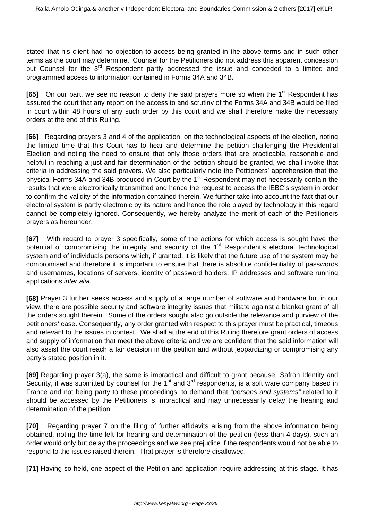stated that his client had no objection to access being granted in the above terms and in such other terms as the court may determine. Counsel for the Petitioners did not address this apparent concession but Counsel for the 3<sup>rd</sup> Respondent partly addressed the issue and conceded to a limited and programmed access to information contained in Forms 34A and 34B.

**[65]** On our part, we see no reason to deny the said prayers more so when the 1<sup>st</sup> Respondent has assured the court that any report on the access to and scrutiny of the Forms 34A and 34B would be filed in court within 48 hours of any such order by this court and we shall therefore make the necessary orders at the end of this Ruling.

**[66]** Regarding prayers 3 and 4 of the application, on the technological aspects of the election, noting the limited time that this Court has to hear and determine the petition challenging the Presidential Election and noting the need to ensure that only those orders that are practicable, reasonable and helpful in reaching a just and fair determination of the petition should be granted, we shall invoke that criteria in addressing the said prayers. We also particularly note the Petitioners' apprehension that the physical Forms 34A and 34B produced in Court by the 1<sup>st</sup> Respondent may not necessarily contain the results that were electronically transmitted and hence the request to access the IEBC's system in order to confirm the validity of the information contained therein. We further take into account the fact that our electoral system is partly electronic by its nature and hence the role played by technology in this regard cannot be completely ignored. Consequently, we hereby analyze the merit of each of the Petitioners prayers as hereunder.

**[67]** With regard to prayer 3 specifically, some of the actions for which access is sought have the potential of compromising the integrity and security of the 1<sup>st</sup> Respondent's electoral technological system and of individuals persons which, if granted, it is likely that the future use of the system may be compromised and therefore it is important to ensure that there is absolute confidentiality of passwords and usernames, locations of servers, identity of password holders, IP addresses and software running applications inter alia.

**[68]** Prayer 3 further seeks access and supply of a large number of software and hardware but in our view, there are possible security and software integrity issues that militate against a blanket grant of all the orders sought therein. Some of the orders sought also go outside the relevance and purview of the petitioners' case. Consequently, any order granted with respect to this prayer must be practical, timeous and relevant to the issues in contest. We shall at the end of this Ruling therefore grant orders of access and supply of information that meet the above criteria and we are confident that the said information will also assist the court reach a fair decision in the petition and without jeopardizing or compromising any party's stated position in it.

**[69]** Regarding prayer 3(a), the same is impractical and difficult to grant because Safron Identity and Security, it was submitted by counsel for the 1<sup>st</sup> and 3<sup>rd</sup> respondents, is a soft ware company based in France and not being party to these proceedings, to demand that "persons and systems" related to it should be accessed by the Petitioners is impractical and may unnecessarily delay the hearing and determination of the petition.

**[70]** Regarding prayer 7 on the filing of further affidavits arising from the above information being obtained, noting the time left for hearing and determination of the petition (less than 4 days), such an order would only but delay the proceedings and we see prejudice if the respondents would not be able to respond to the issues raised therein. That prayer is therefore disallowed.

**[71]** Having so held, one aspect of the Petition and application require addressing at this stage. It has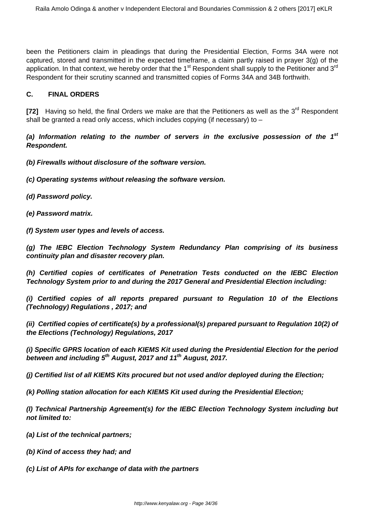been the Petitioners claim in pleadings that during the Presidential Election, Forms 34A were not captured, stored and transmitted in the expected timeframe, a claim partly raised in prayer 3(g) of the application. In that context, we hereby order that the 1<sup>st</sup> Respondent shall supply to the Petitioner and 3<sup>rd</sup> Respondent for their scrutiny scanned and transmitted copies of Forms 34A and 34B forthwith.

## **C. FINAL ORDERS**

[72] Having so held, the final Orders we make are that the Petitioners as well as the 3<sup>rd</sup> Respondent shall be granted a read only access, which includes copying (if necessary) to  $-$ 

**(a) Information relating to the number of servers in the exclusive possession of the 1st Respondent.**

**(b) Firewalls without disclosure of the software version.**

- **(c) Operating systems without releasing the software version.**
- **(d) Password policy.**
- **(e) Password matrix.**

**(f) System user types and levels of access.**

**(g) The IEBC Election Technology System Redundancy Plan comprising of its business continuity plan and disaster recovery plan.**

**(h) Certified copies of certificates of Penetration Tests conducted on the IEBC Election Technology System prior to and during the 2017 General and Presidential Election including:**

**(i) Certified copies of all reports prepared pursuant to Regulation 10 of the Elections (Technology) Regulations , 2017; and**

**(ii) Certified copies of certificate(s) by a professional(s) prepared pursuant to Regulation 10(2) of the Elections (Technology) Regulations, 2017**

**(i) Specific GPRS location of each KIEMS Kit used during the Presidential Election for the period between and including 5th August, 2017 and 11th August, 2017.**

**(j) Certified list of all KIEMS Kits procured but not used and/or deployed during the Election;**

**(k) Polling station allocation for each KIEMS Kit used during the Presidential Election;**

**(l) Technical Partnership Agreement(s) for the IEBC Election Technology System including but not limited to:**

- **(a) List of the technical partners;**
- **(b) Kind of access they had; and**
- **(c) List of APIs for exchange of data with the partners**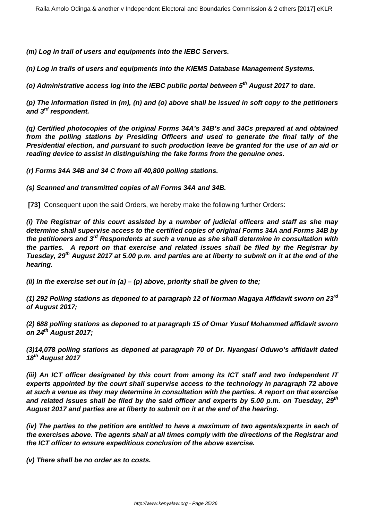**(m) Log in trail of users and equipments into the IEBC Servers.**

**(n) Log in trails of users and equipments into the KIEMS Database Management Systems.**

**(o) Administrative access log into the IEBC public portal between 5th August 2017 to date.**

**(p) The information listed in (m), (n) and (o) above shall be issued in soft copy to the petitioners and 3rd respondent.**

**(q) Certified photocopies of the original Forms 34A's 34B's and 34Cs prepared at and obtained from the polling stations by Presiding Officers and used to generate the final tally of the Presidential election, and pursuant to such production leave be granted for the use of an aid or reading device to assist in distinguishing the fake forms from the genuine ones.**

**(r) Forms 34A 34B and 34 C from all 40,800 polling stations.** 

**(s) Scanned and transmitted copies of all Forms 34A and 34B.**

**[73]** Consequent upon the said Orders, we hereby make the following further Orders:

**(i) The Registrar of this court assisted by a number of judicial officers and staff as she may determine shall supervise access to the certified copies of original Forms 34A and Forms 34B by the petitioners and 3rd Respondents at such a venue as she shall determine in consultation with the parties. A report on that exercise and related issues shall be filed by the Registrar by Tuesday, 29th August 2017 at 5.00 p.m. and parties are at liberty to submit on it at the end of the hearing.**

**(ii) In the exercise set out in (a) – (p) above, priority shall be given to the;** 

**(1) 292 Polling stations as deponed to at paragraph 12 of Norman Magaya Affidavit sworn on 23rd of August 2017;**

**(2) 688 polling stations as deponed to at paragraph 15 of Omar Yusuf Mohammed affidavit sworn on 24th August 2017;**

**(3)14,078 polling stations as deponed at paragraph 70 of Dr. Nyangasi Oduwo's affidavit dated 18th August 2017**

**(iii) An ICT officer designated by this court from among its ICT staff and two independent IT experts appointed by the court shall supervise access to the technology in paragraph 72 above at such a venue as they may determine in consultation with the parties. A report on that exercise and related issues shall be filed by the said officer and experts by 5.00 p.m. on Tuesday, 29th August 2017 and parties are at liberty to submit on it at the end of the hearing.** 

**(iv) The parties to the petition are entitled to have a maximum of two agents/experts in each of the exercises above. The agents shall at all times comply with the directions of the Registrar and the ICT officer to ensure expeditious conclusion of the above exercise.**

**(v) There shall be no order as to costs.**